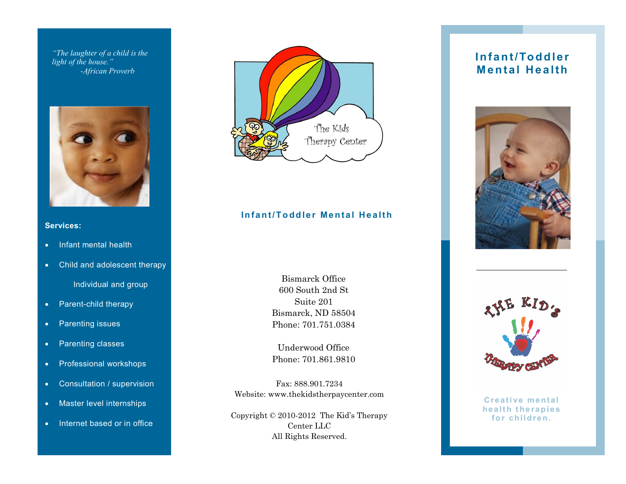*"The laughter of a child is the light of the house." -African Proverb*



#### **Services:**

- Infant mental health
- Child and adolescent therapy

Individual and group

- Parent-child therapy
- Parenting issues
- Parenting classes
- Professional workshops
- Consultation / supervision
- Master level internships
- Internet based or in office



#### **Infant/Toddler Mental Health**

Bismarck Office 600 South 2nd St Suite 201 Bismarck, ND 58504 Phone: 701.751.0384

Underwood Office Phone: 701.861.9810

Fax: 888.901.7234 Website: www.thekidstherpaycenter.com

Copyright © 2010-2012 The Kid's Therapy Center LLC All Rights Reserved.

#### **In fa n t/To d d le r Mental Health**





**Creative mental health therapies** for children.